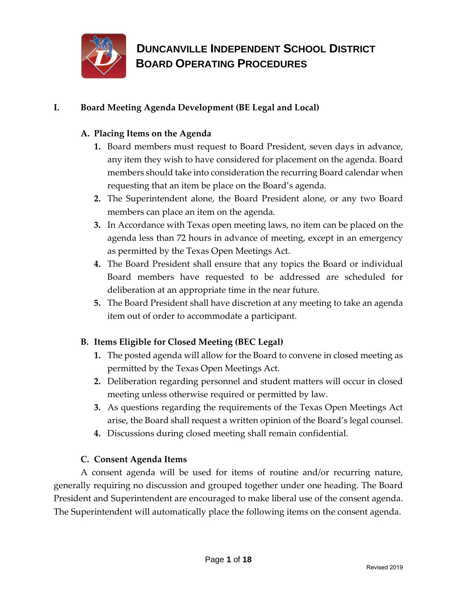

### **I. Board Meeting Agenda Development (BE Legal and Local)**

### **A. Placing Items on the Agenda**

- **1.** Board members must request to Board President, seven days in advance, any item they wish to have considered for placement on the agenda. Board members should take into consideration the recurring Board calendar when requesting that an item be place on the Board's agenda.
- **2.** The Superintendent alone, the Board President alone, or any two Board members can place an item on the agenda.
- **3.** In Accordance with Texas open meeting laws, no item can be placed on the agenda less than 72 hours in advance of meeting, except in an emergency as permitted by the Texas Open Meetings Act.
- **4.** The Board President shall ensure that any topics the Board or individual Board members have requested to be addressed are scheduled for deliberation at an appropriate time in the near future.
- **5.** The Board President shall have discretion at any meeting to take an agenda item out of order to accommodate a participant.

### **B. Items Eligible for Closed Meeting (BEC Legal)**

- **1.** The posted agenda will allow for the Board to convene in closed meeting as permitted by the Texas Open Meetings Act.
- **2.** Deliberation regarding personnel and student matters will occur in closed meeting unless otherwise required or permitted by law.
- **3.** As questions regarding the requirements of the Texas Open Meetings Act arise, the Board shall request a written opinion of the Board's legal counsel.
- **4.** Discussions during closed meeting shall remain confidential.

### **C. Consent Agenda Items**

A consent agenda will be used for items of routine and/or recurring nature, generally requiring no discussion and grouped together under one heading. The Board President and Superintendent are encouraged to make liberal use of the consent agenda. The Superintendent will automatically place the following items on the consent agenda.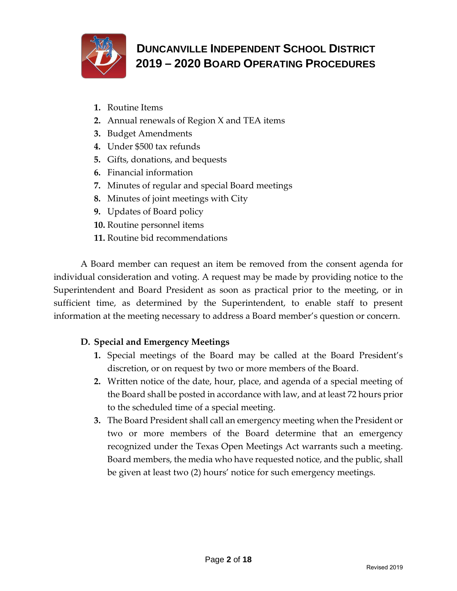

- **1.** Routine Items
- **2.** Annual renewals of Region X and TEA items
- **3.** Budget Amendments
- **4.** Under \$500 tax refunds
- **5.** Gifts, donations, and bequests
- **6.** Financial information
- **7.** Minutes of regular and special Board meetings
- **8.** Minutes of joint meetings with City
- **9.** Updates of Board policy
- **10.** Routine personnel items
- **11.** Routine bid recommendations

A Board member can request an item be removed from the consent agenda for individual consideration and voting. A request may be made by providing notice to the Superintendent and Board President as soon as practical prior to the meeting, or in sufficient time, as determined by the Superintendent, to enable staff to present information at the meeting necessary to address a Board member's question or concern.

### **D. Special and Emergency Meetings**

- **1.** Special meetings of the Board may be called at the Board President's discretion, or on request by two or more members of the Board.
- **2.** Written notice of the date, hour, place, and agenda of a special meeting of the Board shall be posted in accordance with law, and at least 72 hours prior to the scheduled time of a special meeting.
- **3.** The Board President shall call an emergency meeting when the President or two or more members of the Board determine that an emergency recognized under the Texas Open Meetings Act warrants such a meeting. Board members, the media who have requested notice, and the public, shall be given at least two (2) hours' notice for such emergency meetings.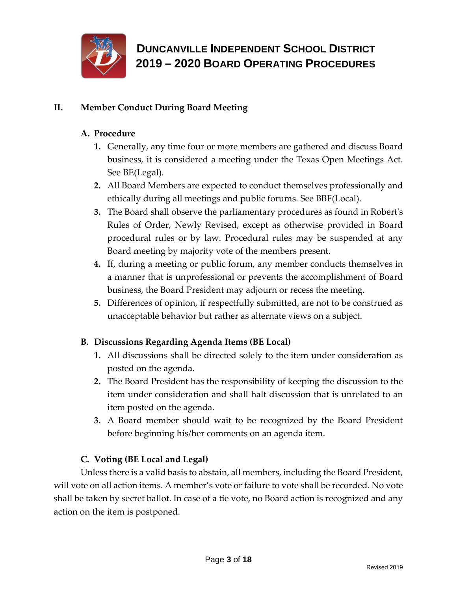

### **II. Member Conduct During Board Meeting**

### **A. Procedure**

- **1.** Generally, any time four or more members are gathered and discuss Board business, it is considered a meeting under the Texas Open Meetings Act. See BE(Legal).
- **2.** All Board Members are expected to conduct themselves professionally and ethically during all meetings and public forums. See BBF(Local).
- **3.** The Board shall observe the parliamentary procedures as found in Robert's Rules of Order, Newly Revised, except as otherwise provided in Board procedural rules or by law. Procedural rules may be suspended at any Board meeting by majority vote of the members present.
- **4.** If, during a meeting or public forum, any member conducts themselves in a manner that is unprofessional or prevents the accomplishment of Board business, the Board President may adjourn or recess the meeting.
- **5.** Differences of opinion, if respectfully submitted, are not to be construed as unacceptable behavior but rather as alternate views on a subject.

### **B. Discussions Regarding Agenda Items (BE Local)**

- **1.** All discussions shall be directed solely to the item under consideration as posted on the agenda.
- **2.** The Board President has the responsibility of keeping the discussion to the item under consideration and shall halt discussion that is unrelated to an item posted on the agenda.
- **3.** A Board member should wait to be recognized by the Board President before beginning his/her comments on an agenda item.

### **C. Voting (BE Local and Legal)**

Unless there is a valid basis to abstain, all members, including the Board President, will vote on all action items. A member's vote or failure to vote shall be recorded. No vote shall be taken by secret ballot. In case of a tie vote, no Board action is recognized and any action on the item is postponed.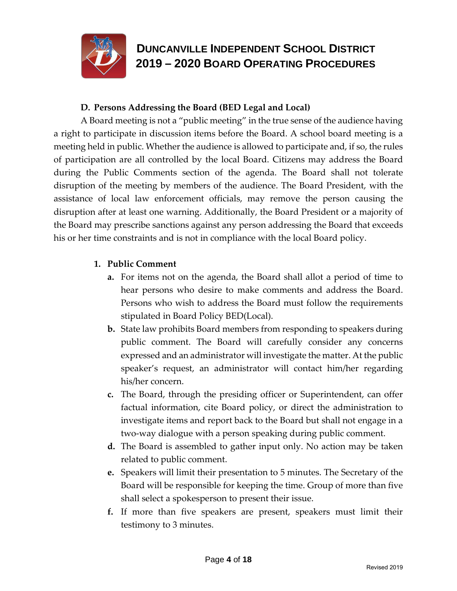

#### **D. Persons Addressing the Board (BED Legal and Local)**

A Board meeting is not a "public meeting" in the true sense of the audience having a right to participate in discussion items before the Board. A school board meeting is a meeting held in public. Whether the audience is allowed to participate and, if so, the rules of participation are all controlled by the local Board. Citizens may address the Board during the Public Comments section of the agenda. The Board shall not tolerate disruption of the meeting by members of the audience. The Board President, with the assistance of local law enforcement officials, may remove the person causing the disruption after at least one warning. Additionally, the Board President or a majority of the Board may prescribe sanctions against any person addressing the Board that exceeds his or her time constraints and is not in compliance with the local Board policy.

#### **1. Public Comment**

- **a.** For items not on the agenda, the Board shall allot a period of time to hear persons who desire to make comments and address the Board. Persons who wish to address the Board must follow the requirements stipulated in Board Policy BED(Local).
- **b.** State law prohibits Board members from responding to speakers during public comment. The Board will carefully consider any concerns expressed and an administrator will investigate the matter. At the public speaker's request, an administrator will contact him/her regarding his/her concern.
- **c.** The Board, through the presiding officer or Superintendent, can offer factual information, cite Board policy, or direct the administration to investigate items and report back to the Board but shall not engage in a two-way dialogue with a person speaking during public comment.
- **d.** The Board is assembled to gather input only. No action may be taken related to public comment.
- **e.** Speakers will limit their presentation to 5 minutes. The Secretary of the Board will be responsible for keeping the time. Group of more than five shall select a spokesperson to present their issue.
- **f.** If more than five speakers are present, speakers must limit their testimony to 3 minutes.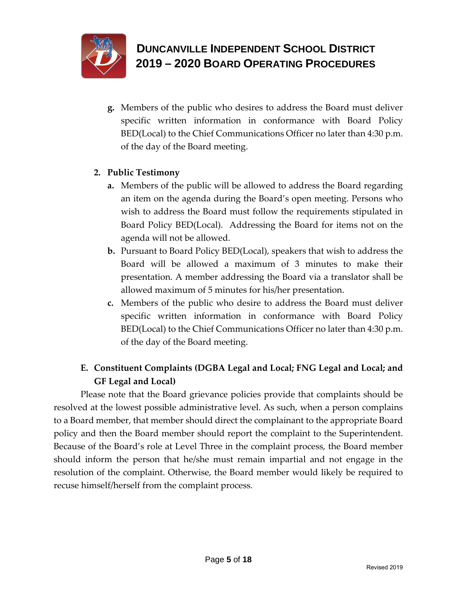

**g.** Members of the public who desires to address the Board must deliver specific written information in conformance with Board Policy BED(Local) to the Chief Communications Officer no later than 4:30 p.m. of the day of the Board meeting.

### **2. Public Testimony**

- **a.** Members of the public will be allowed to address the Board regarding an item on the agenda during the Board's open meeting. Persons who wish to address the Board must follow the requirements stipulated in Board Policy BED(Local). Addressing the Board for items not on the agenda will not be allowed.
- **b.** Pursuant to Board Policy BED(Local), speakers that wish to address the Board will be allowed a maximum of 3 minutes to make their presentation. A member addressing the Board via a translator shall be allowed maximum of 5 minutes for his/her presentation.
- **c.** Members of the public who desire to address the Board must deliver specific written information in conformance with Board Policy BED(Local) to the Chief Communications Officer no later than 4:30 p.m. of the day of the Board meeting.

### **E. Constituent Complaints (DGBA Legal and Local; FNG Legal and Local; and GF Legal and Local)**

Please note that the Board grievance policies provide that complaints should be resolved at the lowest possible administrative level. As such, when a person complains to a Board member, that member should direct the complainant to the appropriate Board policy and then the Board member should report the complaint to the Superintendent. Because of the Board's role at Level Three in the complaint process, the Board member should inform the person that he/she must remain impartial and not engage in the resolution of the complaint. Otherwise, the Board member would likely be required to recuse himself/herself from the complaint process.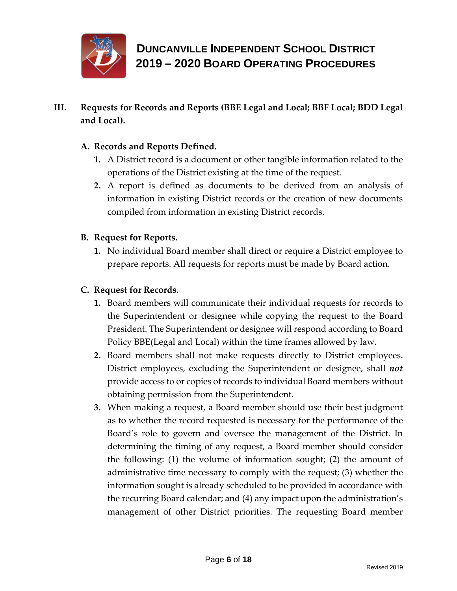

**III. Requests for Records and Reports (BBE Legal and Local; BBF Local; BDD Legal and Local).**

### **A. Records and Reports Defined.**

- **1.** A District record is a document or other tangible information related to the operations of the District existing at the time of the request.
- **2.** A report is defined as documents to be derived from an analysis of information in existing District records or the creation of new documents compiled from information in existing District records.

### **B. Request for Reports.**

**1.** No individual Board member shall direct or require a District employee to prepare reports. All requests for reports must be made by Board action.

#### **C. Request for Records.**

- **1.** Board members will communicate their individual requests for records to the Superintendent or designee while copying the request to the Board President. The Superintendent or designee will respond according to Board Policy BBE(Legal and Local) within the time frames allowed by law.
- **2.** Board members shall not make requests directly to District employees. District employees, excluding the Superintendent or designee, shall *not* provide access to or copies of records to individual Board members without obtaining permission from the Superintendent.
- **3.** When making a request, a Board member should use their best judgment as to whether the record requested is necessary for the performance of the Board's role to govern and oversee the management of the District. In determining the timing of any request, a Board member should consider the following: (1) the volume of information sought; (2) the amount of administrative time necessary to comply with the request; (3) whether the information sought is already scheduled to be provided in accordance with the recurring Board calendar; and (4) any impact upon the administration's management of other District priorities. The requesting Board member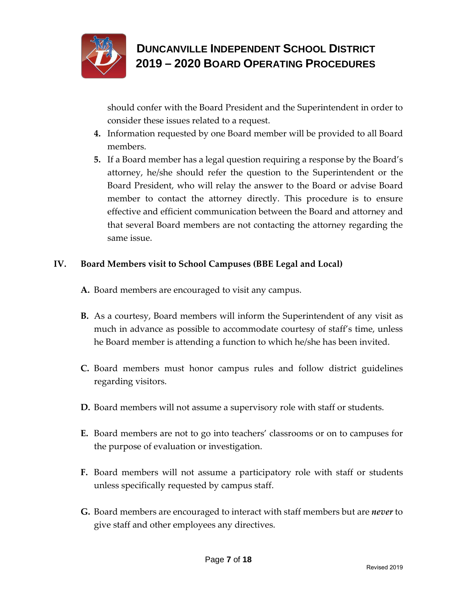

should confer with the Board President and the Superintendent in order to consider these issues related to a request.

- **4.** Information requested by one Board member will be provided to all Board members.
- **5.** If a Board member has a legal question requiring a response by the Board's attorney, he/she should refer the question to the Superintendent or the Board President, who will relay the answer to the Board or advise Board member to contact the attorney directly. This procedure is to ensure effective and efficient communication between the Board and attorney and that several Board members are not contacting the attorney regarding the same issue.

### **IV. Board Members visit to School Campuses (BBE Legal and Local)**

- **A.** Board members are encouraged to visit any campus.
- **B.** As a courtesy, Board members will inform the Superintendent of any visit as much in advance as possible to accommodate courtesy of staff's time, unless he Board member is attending a function to which he/she has been invited.
- **C.** Board members must honor campus rules and follow district guidelines regarding visitors.
- **D.** Board members will not assume a supervisory role with staff or students.
- **E.** Board members are not to go into teachers' classrooms or on to campuses for the purpose of evaluation or investigation.
- **F.** Board members will not assume a participatory role with staff or students unless specifically requested by campus staff.
- **G.** Board members are encouraged to interact with staff members but are *never* to give staff and other employees any directives.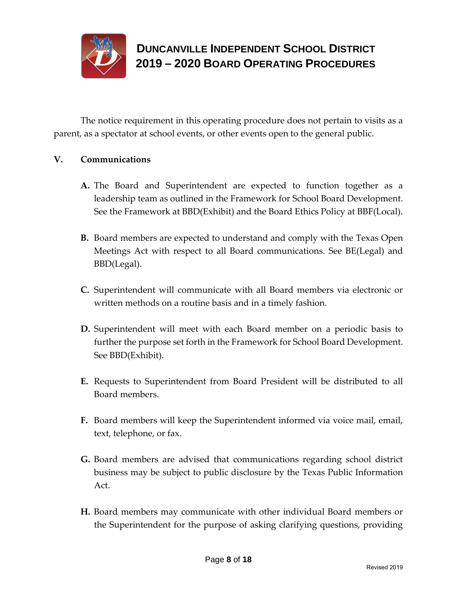

The notice requirement in this operating procedure does not pertain to visits as a parent, as a spectator at school events, or other events open to the general public.

#### **V. Communications**

- **A.** The Board and Superintendent are expected to function together as a leadership team as outlined in the Framework for School Board Development. See the Framework at BBD(Exhibit) and the Board Ethics Policy at BBF(Local).
- **B.** Board members are expected to understand and comply with the Texas Open Meetings Act with respect to all Board communications. See BE(Legal) and BBD(Legal).
- **C.** Superintendent will communicate with all Board members via electronic or written methods on a routine basis and in a timely fashion.
- **D.** Superintendent will meet with each Board member on a periodic basis to further the purpose set forth in the Framework for School Board Development. See BBD(Exhibit).
- **E.** Requests to Superintendent from Board President will be distributed to all Board members.
- **F.** Board members will keep the Superintendent informed via voice mail, email, text, telephone, or fax.
- **G.** Board members are advised that communications regarding school district business may be subject to public disclosure by the Texas Public Information Act.
- **H.** Board members may communicate with other individual Board members or the Superintendent for the purpose of asking clarifying questions, providing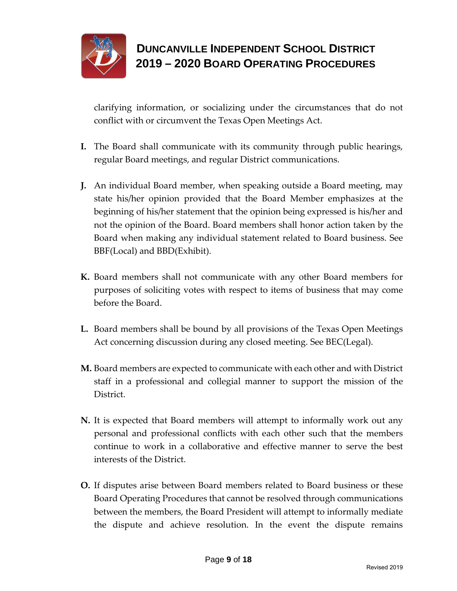

clarifying information, or socializing under the circumstances that do not conflict with or circumvent the Texas Open Meetings Act.

- **I.** The Board shall communicate with its community through public hearings, regular Board meetings, and regular District communications.
- **J.** An individual Board member, when speaking outside a Board meeting, may state his/her opinion provided that the Board Member emphasizes at the beginning of his/her statement that the opinion being expressed is his/her and not the opinion of the Board. Board members shall honor action taken by the Board when making any individual statement related to Board business. See BBF(Local) and BBD(Exhibit).
- **K.** Board members shall not communicate with any other Board members for purposes of soliciting votes with respect to items of business that may come before the Board.
- **L.** Board members shall be bound by all provisions of the Texas Open Meetings Act concerning discussion during any closed meeting. See BEC(Legal).
- **M.** Board members are expected to communicate with each other and with District staff in a professional and collegial manner to support the mission of the District.
- **N.** It is expected that Board members will attempt to informally work out any personal and professional conflicts with each other such that the members continue to work in a collaborative and effective manner to serve the best interests of the District.
- **O.** If disputes arise between Board members related to Board business or these Board Operating Procedures that cannot be resolved through communications between the members, the Board President will attempt to informally mediate the dispute and achieve resolution. In the event the dispute remains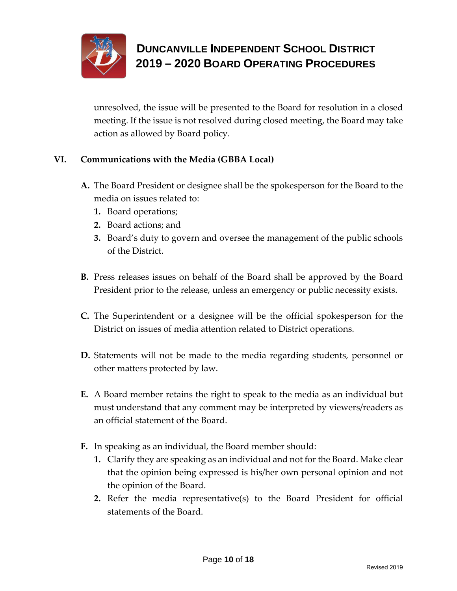

unresolved, the issue will be presented to the Board for resolution in a closed meeting. If the issue is not resolved during closed meeting, the Board may take action as allowed by Board policy.

### **VI. Communications with the Media (GBBA Local)**

- **A.** The Board President or designee shall be the spokesperson for the Board to the media on issues related to:
	- **1.** Board operations;
	- **2.** Board actions; and
	- **3.** Board's duty to govern and oversee the management of the public schools of the District.
- **B.** Press releases issues on behalf of the Board shall be approved by the Board President prior to the release, unless an emergency or public necessity exists.
- **C.** The Superintendent or a designee will be the official spokesperson for the District on issues of media attention related to District operations.
- **D.** Statements will not be made to the media regarding students, personnel or other matters protected by law.
- **E.** A Board member retains the right to speak to the media as an individual but must understand that any comment may be interpreted by viewers/readers as an official statement of the Board.
- **F.** In speaking as an individual, the Board member should:
	- **1.** Clarify they are speaking as an individual and not for the Board. Make clear that the opinion being expressed is his/her own personal opinion and not the opinion of the Board.
	- **2.** Refer the media representative(s) to the Board President for official statements of the Board.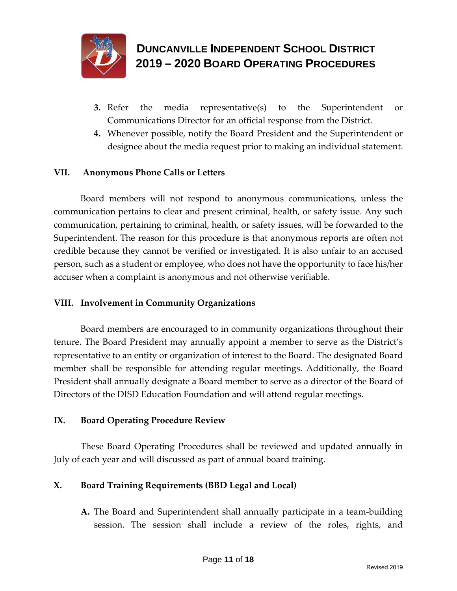

- **3.** Refer the media representative(s) to the Superintendent or Communications Director for an official response from the District.
- **4.** Whenever possible, notify the Board President and the Superintendent or designee about the media request prior to making an individual statement.

#### **VII. Anonymous Phone Calls or Letters**

Board members will not respond to anonymous communications, unless the communication pertains to clear and present criminal, health, or safety issue. Any such communication, pertaining to criminal, health, or safety issues, will be forwarded to the Superintendent. The reason for this procedure is that anonymous reports are often not credible because they cannot be verified or investigated. It is also unfair to an accused person, such as a student or employee, who does not have the opportunity to face his/her accuser when a complaint is anonymous and not otherwise verifiable.

#### **VIII. Involvement in Community Organizations**

Board members are encouraged to in community organizations throughout their tenure. The Board President may annually appoint a member to serve as the District's representative to an entity or organization of interest to the Board. The designated Board member shall be responsible for attending regular meetings. Additionally, the Board President shall annually designate a Board member to serve as a director of the Board of Directors of the DISD Education Foundation and will attend regular meetings.

#### **IX. Board Operating Procedure Review**

These Board Operating Procedures shall be reviewed and updated annually in July of each year and will discussed as part of annual board training.

### **X. Board Training Requirements (BBD Legal and Local)**

**A.** The Board and Superintendent shall annually participate in a team-building session. The session shall include a review of the roles, rights, and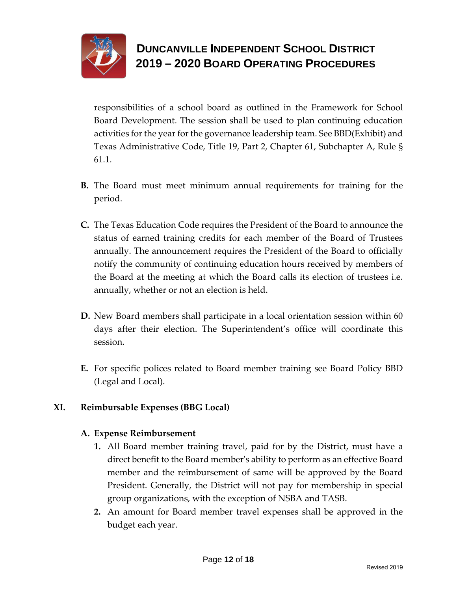

responsibilities of a school board as outlined in the Framework for School Board Development. The session shall be used to plan continuing education activities for the year for the governance leadership team. See BBD(Exhibit) and Texas Administrative Code, Title 19, Part 2, Chapter 61, Subchapter A, Rule § 61.1.

- **B.** The Board must meet minimum annual requirements for training for the period.
- **C.** The Texas Education Code requires the President of the Board to announce the status of earned training credits for each member of the Board of Trustees annually. The announcement requires the President of the Board to officially notify the community of continuing education hours received by members of the Board at the meeting at which the Board calls its election of trustees i.e. annually, whether or not an election is held.
- **D.** New Board members shall participate in a local orientation session within 60 days after their election. The Superintendent's office will coordinate this session.
- **E.** For specific polices related to Board member training see Board Policy BBD (Legal and Local).

### **XI. Reimbursable Expenses (BBG Local)**

#### **A. Expense Reimbursement**

- **1.** All Board member training travel, paid for by the District, must have a direct benefit to the Board member's ability to perform as an effective Board member and the reimbursement of same will be approved by the Board President. Generally, the District will not pay for membership in special group organizations, with the exception of NSBA and TASB.
- **2.** An amount for Board member travel expenses shall be approved in the budget each year.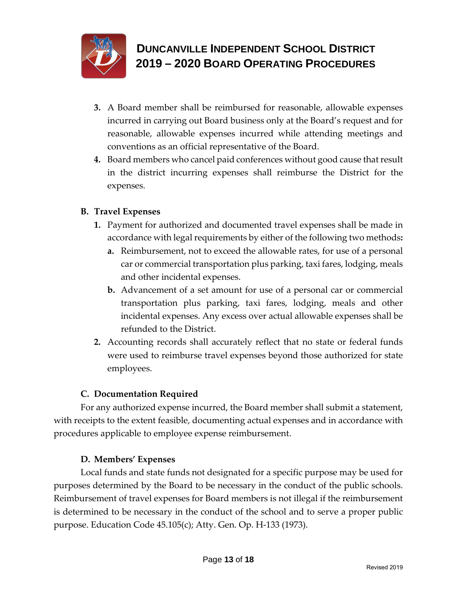

- **3.** A Board member shall be reimbursed for reasonable, allowable expenses incurred in carrying out Board business only at the Board's request and for reasonable, allowable expenses incurred while attending meetings and conventions as an official representative of the Board.
- **4.** Board members who cancel paid conferences without good cause that result in the district incurring expenses shall reimburse the District for the expenses.

### **B. Travel Expenses**

- **1.** Payment for authorized and documented travel expenses shall be made in accordance with legal requirements by either of the following two methods**:** 
	- **a.** Reimbursement, not to exceed the allowable rates, for use of a personal car or commercial transportation plus parking, taxi fares, lodging, meals and other incidental expenses.
	- **b.** Advancement of a set amount for use of a personal car or commercial transportation plus parking, taxi fares, lodging, meals and other incidental expenses. Any excess over actual allowable expenses shall be refunded to the District.
- **2.** Accounting records shall accurately reflect that no state or federal funds were used to reimburse travel expenses beyond those authorized for state employees.

### **C. Documentation Required**

For any authorized expense incurred, the Board member shall submit a statement, with receipts to the extent feasible, documenting actual expenses and in accordance with procedures applicable to employee expense reimbursement.

### **D. Members' Expenses**

Local funds and state funds not designated for a specific purpose may be used for purposes determined by the Board to be necessary in the conduct of the public schools. Reimbursement of travel expenses for Board members is not illegal if the reimbursement is determined to be necessary in the conduct of the school and to serve a proper public purpose. Education Code 45.105(c); Atty. Gen. Op. H-133 (1973).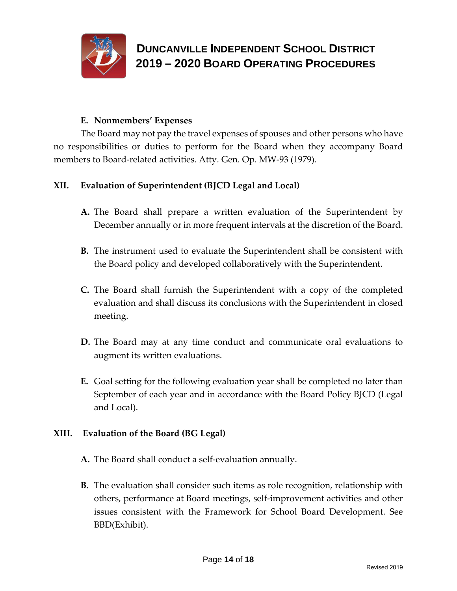

#### **E. Nonmembers' Expenses**

The Board may not pay the travel expenses of spouses and other persons who have no responsibilities or duties to perform for the Board when they accompany Board members to Board-related activities. Atty. Gen. Op. MW-93 (1979).

#### **XII. Evaluation of Superintendent (BJCD Legal and Local)**

- **A.** The Board shall prepare a written evaluation of the Superintendent by December annually or in more frequent intervals at the discretion of the Board.
- **B.** The instrument used to evaluate the Superintendent shall be consistent with the Board policy and developed collaboratively with the Superintendent.
- **C.** The Board shall furnish the Superintendent with a copy of the completed evaluation and shall discuss its conclusions with the Superintendent in closed meeting.
- **D.** The Board may at any time conduct and communicate oral evaluations to augment its written evaluations.
- **E.** Goal setting for the following evaluation year shall be completed no later than September of each year and in accordance with the Board Policy BJCD (Legal and Local).

#### **XIII. Evaluation of the Board (BG Legal)**

- **A.** The Board shall conduct a self-evaluation annually.
- **B.** The evaluation shall consider such items as role recognition, relationship with others, performance at Board meetings, self-improvement activities and other issues consistent with the Framework for School Board Development. See BBD(Exhibit).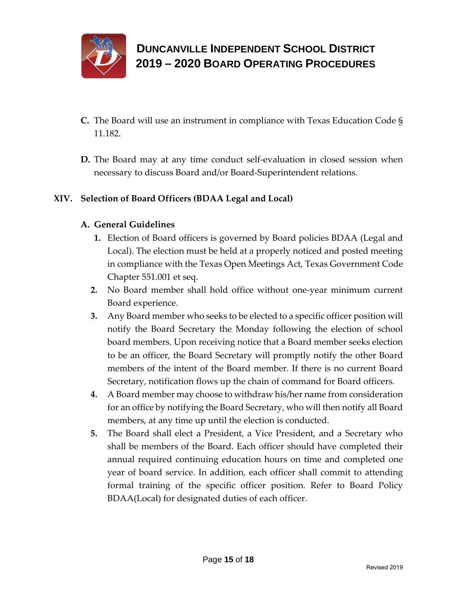

- **C.** The Board will use an instrument in compliance with Texas Education Code § 11.182.
- **D.** The Board may at any time conduct self-evaluation in closed session when necessary to discuss Board and/or Board-Superintendent relations.

### **XIV. Selection of Board Officers (BDAA Legal and Local)**

### **A. General Guidelines**

- **1.** Election of Board officers is governed by Board policies BDAA (Legal and Local). The election must be held at a properly noticed and posted meeting in compliance with the Texas Open Meetings Act, Texas Government Code Chapter 551.001 et seq.
- **2.** No Board member shall hold office without one-year minimum current Board experience.
- **3.** Any Board member who seeks to be elected to a specific officer position will notify the Board Secretary the Monday following the election of school board members. Upon receiving notice that a Board member seeks election to be an officer, the Board Secretary will promptly notify the other Board members of the intent of the Board member. If there is no current Board Secretary, notification flows up the chain of command for Board officers.
- **4.** A Board member may choose to withdraw his/her name from consideration for an office by notifying the Board Secretary, who will then notify all Board members, at any time up until the election is conducted.
- **5.** The Board shall elect a President, a Vice President, and a Secretary who shall be members of the Board. Each officer should have completed their annual required continuing education hours on time and completed one year of board service. In addition, each officer shall commit to attending formal training of the specific officer position. Refer to Board Policy BDAA(Local) for designated duties of each officer.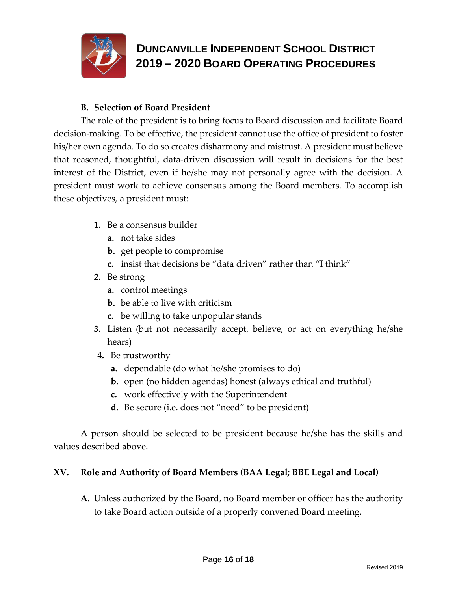

#### **B. Selection of Board President**

The role of the president is to bring focus to Board discussion and facilitate Board decision-making. To be effective, the president cannot use the office of president to foster his/her own agenda. To do so creates disharmony and mistrust. A president must believe that reasoned, thoughtful, data-driven discussion will result in decisions for the best interest of the District, even if he/she may not personally agree with the decision. A president must work to achieve consensus among the Board members. To accomplish these objectives, a president must:

- **1.** Be a consensus builder
	- **a.** not take sides
	- **b.** get people to compromise
	- **c.** insist that decisions be "data driven" rather than "I think"
- **2.** Be strong
	- **a.** control meetings
	- **b.** be able to live with criticism
	- **c.** be willing to take unpopular stands
- **3.** Listen (but not necessarily accept, believe, or act on everything he/she hears)
- **4.** Be trustworthy
	- **a.** dependable (do what he/she promises to do)
	- **b.** open (no hidden agendas) honest (always ethical and truthful)
	- **c.** work effectively with the Superintendent
	- **d.** Be secure (i.e. does not "need" to be president)

A person should be selected to be president because he/she has the skills and values described above.

#### **XV. Role and Authority of Board Members (BAA Legal; BBE Legal and Local)**

**A.** Unless authorized by the Board, no Board member or officer has the authority to take Board action outside of a properly convened Board meeting.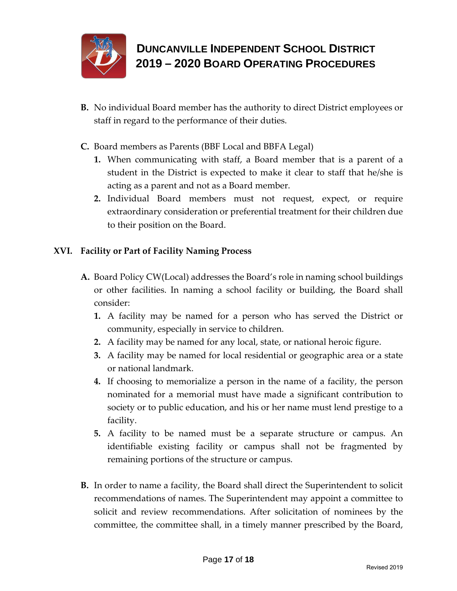

- **B.** No individual Board member has the authority to direct District employees or staff in regard to the performance of their duties.
- **C.** Board members as Parents (BBF Local and BBFA Legal)
	- **1.** When communicating with staff, a Board member that is a parent of a student in the District is expected to make it clear to staff that he/she is acting as a parent and not as a Board member.
	- **2.** Individual Board members must not request, expect, or require extraordinary consideration or preferential treatment for their children due to their position on the Board.

### **XVI. Facility or Part of Facility Naming Process**

- **A.** Board Policy CW(Local) addresses the Board's role in naming school buildings or other facilities. In naming a school facility or building, the Board shall consider:
	- **1.** A facility may be named for a person who has served the District or community, especially in service to children.
	- **2.** A facility may be named for any local, state, or national heroic figure.
	- **3.** A facility may be named for local residential or geographic area or a state or national landmark.
	- **4.** If choosing to memorialize a person in the name of a facility, the person nominated for a memorial must have made a significant contribution to society or to public education, and his or her name must lend prestige to a facility.
	- **5.** A facility to be named must be a separate structure or campus. An identifiable existing facility or campus shall not be fragmented by remaining portions of the structure or campus.
- **B.** In order to name a facility, the Board shall direct the Superintendent to solicit recommendations of names. The Superintendent may appoint a committee to solicit and review recommendations. After solicitation of nominees by the committee, the committee shall, in a timely manner prescribed by the Board,